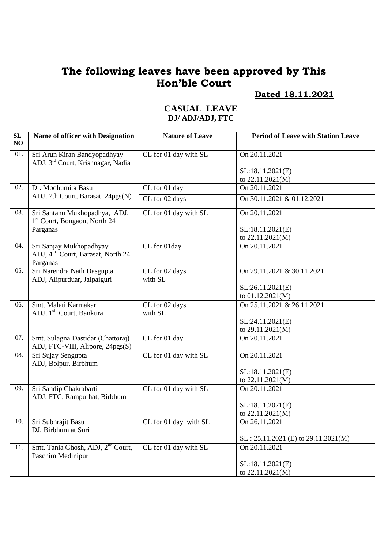### **Dated 18.11.2021**

| SL<br>NO | <b>Name of officer with Designation</b>                                              | <b>Nature of Leave</b> | <b>Period of Leave with Station Leave</b> |
|----------|--------------------------------------------------------------------------------------|------------------------|-------------------------------------------|
| 01.      | Sri Arun Kiran Bandyopadhyay<br>ADJ, 3 <sup>rd</sup> Court, Krishnagar, Nadia        | CL for 01 day with SL  | On 20.11.2021                             |
|          |                                                                                      |                        | SL:18.11.2021(E)                          |
|          |                                                                                      |                        | to 22.11.2021(M)                          |
| 02.      | Dr. Modhumita Basu                                                                   | CL for 01 day          | On 20.11.2021                             |
|          | ADJ, 7th Court, Barasat, 24pgs(N)                                                    | CL for 02 days         | On 30.11.2021 & 01.12.2021                |
| 03.      | Sri Santanu Mukhopadhya, ADJ,<br>1 <sup>st</sup> Court, Bongaon, North 24            | CL for 01 day with SL  | On 20.11.2021                             |
|          | Parganas                                                                             |                        | SL:18.11.2021(E)                          |
|          |                                                                                      |                        | to $22.11.2021(M)$                        |
| 04.      | Sri Sanjay Mukhopadhyay<br>ADJ, 4 <sup>th</sup> Court, Barasat, North 24<br>Parganas | CL for 01day           | On 20.11.2021                             |
| 05.      | Sri Narendra Nath Dasgupta                                                           | CL for 02 days         | On 29.11.2021 & 30.11.2021                |
|          | ADJ, Alipurduar, Jalpaiguri                                                          | with SL                |                                           |
|          |                                                                                      |                        | SL:26.11.2021(E)                          |
|          |                                                                                      |                        | to 01.12.2021(M)                          |
| 06.      | Smt. Malati Karmakar                                                                 | CL for 02 days         | On 25.11.2021 & 26.11.2021                |
|          | ADJ, 1 <sup>st</sup> Court, Bankura                                                  | with SL                |                                           |
|          |                                                                                      |                        | SL:24.11.2021(E)<br>to 29.11.2021(M)      |
| 07.      | Smt. Sulagna Dastidar (Chattoraj)                                                    | CL for 01 day          | On 20.11.2021                             |
|          | ADJ, FTC-VIII, Alipore, 24pgs(S)                                                     |                        |                                           |
| 08.      | Sri Sujay Sengupta<br>ADJ, Bolpur, Birbhum                                           | CL for 01 day with SL  | On 20.11.2021                             |
|          |                                                                                      |                        | SL:18.11.2021(E)                          |
|          |                                                                                      |                        | to 22.11.2021(M)                          |
| 09.      | Sri Sandip Chakrabarti<br>ADJ, FTC, Rampurhat, Birbhum                               | CL for 01 day with SL  | On 20.11.2021                             |
|          |                                                                                      |                        | SL:18.11.2021(E)                          |
|          |                                                                                      |                        | to 22.11.2021(M)                          |
| 10.      | Sri Subhrajit Basu<br>DJ, Birbhum at Suri                                            | CL for 01 day with SL  | On 26.11.2021                             |
|          |                                                                                      |                        | $SL: 25.11.2021$ (E) to 29.11.2021(M)     |
| 11.      | Smt. Tania Ghosh, ADJ, 2 <sup>nd</sup> Court,<br>Paschim Medinipur                   | CL for 01 day with SL  | On 20.11.2021                             |
|          |                                                                                      |                        | SL:18.11.2021(E)                          |
|          |                                                                                      |                        | to 22.11.2021(M)                          |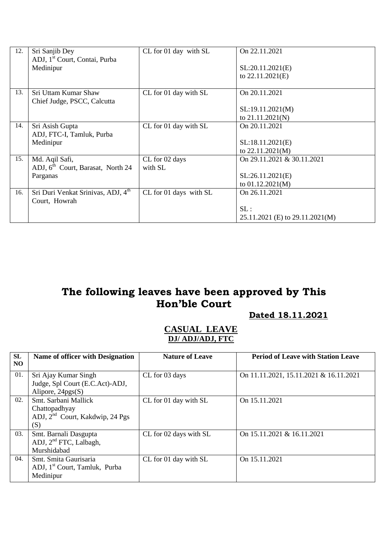| 12. | Sri Sanjib Dey                                 | CL for 01 day with SL  | On 22.11.2021                   |
|-----|------------------------------------------------|------------------------|---------------------------------|
|     | ADJ, 1 <sup>st</sup> Court, Contai, Purba      |                        |                                 |
|     | Medinipur                                      |                        | SL:20.11.2021(E)                |
|     |                                                |                        | to 22.11.2021(E)                |
| 13. | Sri Uttam Kumar Shaw                           | CL for 01 day with SL  | On 20.11.2021                   |
|     | Chief Judge, PSCC, Calcutta                    |                        |                                 |
|     |                                                |                        | SL:19.11.2021(M)                |
|     |                                                |                        | to 21.11.2021(N)                |
| 14. | Sri Asish Gupta                                | CL for 01 day with SL  | On 20.11.2021                   |
|     | ADJ, FTC-I, Tamluk, Purba                      |                        |                                 |
|     | Medinipur                                      |                        | SL:18.11.2021(E)                |
|     |                                                |                        | to 22.11.2021(M)                |
| 15. | Md. Aqil Safi,                                 | CL for 02 days         | On 29.11.2021 & 30.11.2021      |
|     | ADJ, 6 <sup>th</sup> Court, Barasat, North 24  | with SL                |                                 |
|     | Parganas                                       |                        | SL:26.11.2021(E)                |
|     |                                                |                        | to 01.12.2021(M)                |
| 16. | Sri Duri Venkat Srinivas, ADJ, 4 <sup>th</sup> | CL for 01 days with SL | On 26.11.2021                   |
|     | Court, Howrah                                  |                        |                                 |
|     |                                                |                        | SL:                             |
|     |                                                |                        | 25.11.2021 (E) to 29.11.2021(M) |

#### **Dated 18.11.2021**

| <b>SL</b><br>NO. | Name of officer with Designation                                                            | <b>Nature of Leave</b> | <b>Period of Leave with Station Leave</b> |
|------------------|---------------------------------------------------------------------------------------------|------------------------|-------------------------------------------|
| 01.              | Sri Ajay Kumar Singh<br>Judge, Spl Court (E.C.Act)-ADJ,<br>Alipore, $24pgs(S)$              | CL for 03 days         | On 11.11.2021, 15.11.2021 & 16.11.2021    |
| 02.              | Smt. Sarbani Mallick<br>Chattopadhyay<br>ADJ, 2 <sup>nd</sup> Court, Kakdwip, 24 Pgs<br>(S) | CL for 01 day with SL  | On 15.11.2021                             |
| 03.              | Smt. Barnali Dasgupta<br>ADJ, 2 <sup>nd</sup> FTC, Lalbagh,<br>Murshidabad                  | CL for 02 days with SL | On 15.11.2021 & 16.11.2021                |
| 04.              | Smt. Smita Gaurisaria<br>ADJ, 1 <sup>st</sup> Court, Tamluk, Purba<br>Medinipur             | CL for 01 day with SL  | On 15.11.2021                             |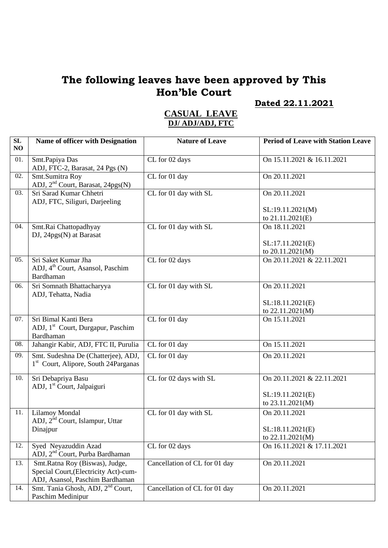### **Dated 22.11.2021**

| SL<br>NO | Name of officer with Designation                                                                           | <b>Nature of Leave</b>            | <b>Period of Leave with Station Leave</b>      |
|----------|------------------------------------------------------------------------------------------------------------|-----------------------------------|------------------------------------------------|
| 01.      | Smt.Papiya Das<br>ADJ, FTC-2, Barasat, 24 Pgs (N)                                                          | CL for 02 days                    | On 15.11.2021 & 16.11.2021                     |
| 02.      | Smt.Sumitra Roy<br>ADJ, 2 <sup>nd</sup> Court, Barasat, 24pgs(N)                                           | CL for 01 day                     | On 20.11.2021                                  |
| 03.      | Sri Sarad Kumar Chhetri<br>ADJ, FTC, Siliguri, Darjeeling                                                  | CL for 01 day with SL             | On 20.11.2021<br>SL:19.11.2021(M)              |
|          |                                                                                                            |                                   | to 21.11.2021(E)                               |
| 04.      | Smt.Rai Chattopadhyay<br>DJ, 24pgs(N) at Barasat                                                           | CL for 01 day with SL             | On 18.11.2021                                  |
|          |                                                                                                            |                                   | SL:17.11.2021(E)<br>to 20.11.2021(M)           |
| 05.      | Sri Saket Kumar Jha<br>ADJ, 4 <sup>th</sup> Court, Asansol, Paschim<br>Bardhaman                           | CL for 02 days                    | On 20.11.2021 & 22.11.2021                     |
| 06.      | Sri Somnath Bhattacharyya<br>ADJ, Tehatta, Nadia                                                           | CL for 01 day with SL             | On 20.11.2021                                  |
|          |                                                                                                            |                                   | SL:18.11.2021(E)<br>to 22.11.2021(M)           |
| 07.      | Sri Bimal Kanti Bera<br>ADJ, 1 <sup>st</sup> Court, Durgapur, Paschim<br>Bardhaman                         | CL for 01 day                     | On 15.11.2021                                  |
| 08.      | Jahangir Kabir, ADJ, FTC II, Purulia                                                                       | CL for 01 day                     | On 15.11.2021                                  |
| 09.      | Smt. Sudeshna De (Chatterjee), ADJ,<br>1 <sup>st</sup> Court, Alipore, South 24Parganas                    | $\overline{\text{CL}}$ for 01 day | On 20.11.2021                                  |
| 10.      | Sri Debapriya Basu<br>ADJ, 1 <sup>st</sup> Court, Jalpaiguri                                               | CL for 02 days with SL            | On 20.11.2021 & 22.11.2021<br>SL:19.11.2021(E) |
|          |                                                                                                            |                                   | to 23.11.2021(M)                               |
| 11.      | Lilamoy Mondal<br>ADJ, 2 <sup>nd</sup> Court, Islampur, Uttar                                              | CL for 01 day with SL             | On 20.11.2021                                  |
|          | Dinajpur                                                                                                   |                                   | SL:18.11.2021(E)<br>to 22.11.2021(M)           |
| 12.      | Syed Neyazuddin Azad<br>ADJ, 2 <sup>nd</sup> Court, Purba Bardhaman                                        | CL for 02 days                    | On 16.11.2021 & 17.11.2021                     |
| 13.      | Smt.Ratna Roy (Biswas), Judge,<br>Special Court, (Electricity Act)-cum-<br>ADJ, Asansol, Paschim Bardhaman | Cancellation of CL for 01 day     | On 20.11.2021                                  |
| 14.      | Smt. Tania Ghosh, ADJ, 2 <sup>nd</sup> Court,<br>Paschim Medinipur                                         | Cancellation of CL for 01 day     | On 20.11.2021                                  |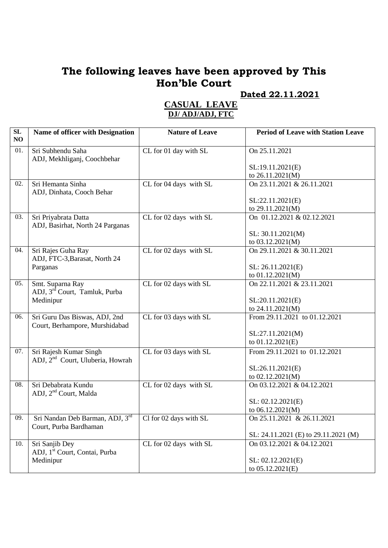**Dated 22.11.2021**

| ${\bf SL}$ |                                              | <b>Nature of Leave</b> | <b>Period of Leave with Station Leave</b>      |
|------------|----------------------------------------------|------------------------|------------------------------------------------|
| NO         | Name of officer with Designation             |                        |                                                |
| 01.        | Sri Subhendu Saha                            | CL for 01 day with SL  | On 25.11.2021                                  |
|            | ADJ, Mekhliganj, Coochbehar                  |                        |                                                |
|            |                                              |                        | SL:19.11.2021(E)                               |
|            |                                              |                        | to 26.11.2021(M)                               |
| 02.        | Sri Hemanta Sinha                            | CL for 04 days with SL | On 23.11.2021 & 26.11.2021                     |
|            | ADJ, Dinhata, Cooch Behar                    |                        |                                                |
|            |                                              |                        | SL:22.11.2021(E)                               |
|            |                                              |                        | to 29.11.2021(M)                               |
| 03.        | Sri Priyabrata Datta                         | CL for 02 days with SL | On 01.12.2021 & 02.12.2021                     |
|            | ADJ, Basirhat, North 24 Parganas             |                        |                                                |
|            |                                              |                        | SL: 30.11.2021(M)                              |
| 04.        | Sri Rajes Guha Ray                           | CL for 02 days with SL | to 03.12.2021(M)<br>On 29.11.2021 & 30.11.2021 |
|            | ADJ, FTC-3, Barasat, North 24                |                        |                                                |
|            | Parganas                                     |                        | SL: 26.11.2021(E)                              |
|            |                                              |                        | to 01.12.2021(M)                               |
| 05.        | Smt. Suparna Ray                             | CL for 02 days with SL | On 22.11.2021 & 23.11.2021                     |
|            | ADJ, 3 <sup>rd</sup> Court, Tamluk, Purba    |                        |                                                |
|            | Medinipur                                    |                        | SL:20.11.2021(E)                               |
|            |                                              |                        | to 24.11.2021(M)                               |
| 06.        | Sri Guru Das Biswas, ADJ, 2nd                | CL for 03 days with SL | From 29.11.2021 to 01.12.2021                  |
|            | Court, Berhampore, Murshidabad               |                        |                                                |
|            |                                              |                        | SL:27.11.2021(M)                               |
|            |                                              |                        | to 01.12.2021(E)                               |
| 07.        | Sri Rajesh Kumar Singh                       | CL for 03 days with SL | From 29.11.2021 to 01.12.2021                  |
|            | ADJ, 2 <sup>nd</sup> Court, Uluberia, Howrah |                        | SL:26.11.2021(E)                               |
|            |                                              |                        | to 02.12.2021(M)                               |
| 08.        | Sri Debabrata Kundu                          | CL for 02 days with SL | On 03.12.2021 & 04.12.2021                     |
|            | ADJ, 2 <sup>nd</sup> Court, Malda            |                        |                                                |
|            |                                              |                        | SL: 02.12.2021(E)                              |
|            |                                              |                        | to 06.12.2021(M)                               |
| 09.        | Sri Nandan Deb Barman, ADJ, 3rd              | Cl for 02 days with SL | On $25.11.2021$ & $26.11.2021$                 |
|            | Court, Purba Bardhaman                       |                        |                                                |
|            |                                              |                        | SL: 24.11.2021 (E) to 29.11.2021 (M)           |
| 10.        | Sri Sanjib Dey                               | CL for 02 days with SL | On 03.12.2021 & 04.12.2021                     |
|            | ADJ, 1 <sup>st</sup> Court, Contai, Purba    |                        |                                                |
|            | Medinipur                                    |                        | SL: 02.12.2021(E)<br>to 05.12.2021(E)          |
|            |                                              |                        |                                                |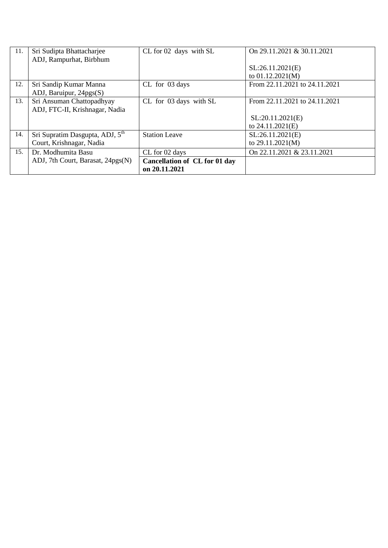| 11. | Sri Sudipta Bhattacharjee                   | CL for 02 days with SL        | On 29.11.2021 & 30.11.2021    |
|-----|---------------------------------------------|-------------------------------|-------------------------------|
|     | ADJ, Rampurhat, Birbhum                     |                               |                               |
|     |                                             |                               | SL:26.11.2021(E)              |
|     |                                             |                               | to $01.12.2021(M)$            |
| 12. | Sri Sandip Kumar Manna                      | CL for 03 days                | From 22.11.2021 to 24.11.2021 |
|     | ADJ, Baruipur, 24pgs(S)                     |                               |                               |
| 13. | Sri Ansuman Chattopadhyay                   | CL for 03 days with SL        | From 22.11.2021 to 24.11.2021 |
|     | ADJ, FTC-II, Krishnagar, Nadia              |                               |                               |
|     |                                             |                               | SL:20.11.2021(E)              |
|     |                                             |                               | to 24.11.2021(E)              |
| 14. | Sri Supratim Dasgupta, ADJ, 5 <sup>th</sup> | <b>Station Leave</b>          | SL:26.11.2021(E)              |
|     | Court, Krishnagar, Nadia                    |                               | to $29.11.2021(M)$            |
| 15. | Dr. Modhumita Basu                          | CL for 02 days                | On 22.11.2021 & 23.11.2021    |
|     | ADJ, 7th Court, Barasat, 24pgs(N)           | Cancellation of CL for 01 day |                               |
|     |                                             | on 20.11.2021                 |                               |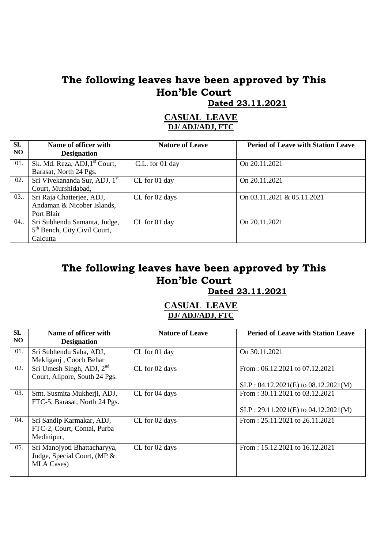**Dated 23.11.2021**

#### **CASUAL LEAVE DJ/ ADJ/ADJ, FTC**

| SL<br>NO. | Name of officer with<br><b>Designation</b>                                           | <b>Nature of Leave</b> | <b>Period of Leave with Station Leave</b> |
|-----------|--------------------------------------------------------------------------------------|------------------------|-------------------------------------------|
| 01.       | Sk. Md. Reza, ADJ, 1 <sup>st</sup> Court,<br>Barasat, North 24 Pgs.                  | C.L. for 01 day        | On 20.11.2021                             |
| 02.       | Sri Vivekananda Sur, ADJ, 1 <sup>st</sup><br>Court, Murshidabad,                     | CL for 01 day          | On 20.11.2021                             |
| 03.       | Sri Raja Chatterjee, ADJ,<br>Andaman & Nicober Islands,<br>Port Blair                | CL for 02 days         | On 03.11.2021 & 05.11.2021                |
| 04.       | Sri Subhendu Samanta, Judge,<br>5 <sup>th</sup> Bench, City Civil Court,<br>Calcutta | CL for 01 day          | On 20.11.2021                             |

## **The following leaves have been approved by This Hon'ble Court**

 **Dated 23.11.2021**

| <b>SL</b><br>NO. | Name of officer with<br><b>Designation</b>                                        | <b>Nature of Leave</b> | <b>Period of Leave with Station Leave</b>                                     |
|------------------|-----------------------------------------------------------------------------------|------------------------|-------------------------------------------------------------------------------|
| 01.              | Sri Subhendu Saha, ADJ,<br>Mekliganj, Cooch Behar                                 | CL for 01 day          | On 30.11.2021                                                                 |
| 02.              | Sri Umesh Singh, ADJ, $2nd$<br>Court, Alipore, South 24 Pgs.                      | CL for 02 days         | From: $06.12.2021$ to $07.12.2021$<br>$SLP: 04.12.2021(E)$ to $08.12.2021(M)$ |
| 03.              | Smt. Susmita Mukherji, ADJ,<br>FTC-5, Barasat, North 24 Pgs.                      | CL for 04 days         | From: $30.11.2021$ to $03.12.2021$<br>$SLP: 29.11.2021(E)$ to 04.12.2021(M)   |
| 04.              | Sri Sandip Karmakar, ADJ,<br>FTC-2, Court, Contai, Purba<br>Medinipur,            | CL for 02 days         | From: $25.11.2021$ to $26.11.2021$                                            |
| 05.              | Sri Manojyoti Bhattacharyya,<br>Judge, Special Court, (MP &<br><b>MLA Cases</b> ) | CL for 02 days         | From: $15.12.2021$ to $16.12.2021$                                            |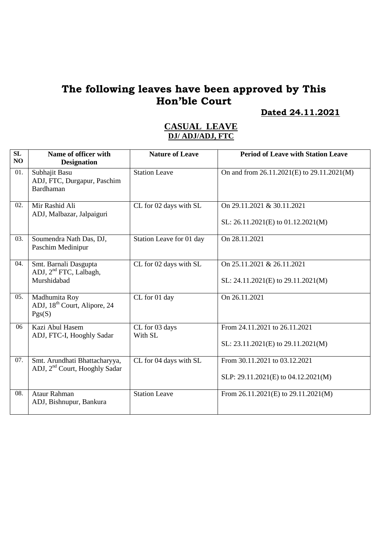**Dated 24.11.2021**

| SL<br>NO | Name of officer with<br><b>Designation</b>                                 | <b>Nature of Leave</b>    | <b>Period of Leave with Station Leave</b>                            |
|----------|----------------------------------------------------------------------------|---------------------------|----------------------------------------------------------------------|
| 01.      | Subhajit Basu<br>ADJ, FTC, Durgapur, Paschim<br>Bardhaman                  | <b>Station Leave</b>      | On and from 26.11.2021(E) to 29.11.2021(M)                           |
| 02.      | Mir Rashid Ali<br>ADJ, Malbazar, Jalpaiguri                                | CL for 02 days with SL    | On 29.11.2021 & 30.11.2021<br>SL: $26.11.2021(E)$ to $01.12.2021(M)$ |
| 03.      | Soumendra Nath Das, DJ,<br>Paschim Medinipur                               | Station Leave for 01 day  | On 28.11.2021                                                        |
| 04.      | Smt. Barnali Dasgupta<br>ADJ, 2 <sup>nd</sup> FTC, Lalbagh,<br>Murshidabad | CL for 02 days with SL    | On 25.11.2021 & 26.11.2021<br>SL: $24.11.2021(E)$ to $29.11.2021(M)$ |
| 05.      | Madhumita Roy<br>ADJ, 18 <sup>th</sup> Court, Alipore, 24<br>Pgs(S)        | CL for 01 day             | On 26.11.2021                                                        |
| 06       | Kazi Abul Hasem<br>ADJ, FTC-I, Hooghly Sadar                               | CL for 03 days<br>With SL | From 24.11.2021 to 26.11.2021<br>SL: 23.11.2021(E) to 29.11.2021(M)  |
| 07.      | Smt. Arundhati Bhattacharyya,<br>ADJ, 2 <sup>nd</sup> Court, Hooghly Sadar | CL for 04 days with SL    | From 30.11.2021 to 03.12.2021<br>SLP: 29.11.2021(E) to 04.12.2021(M) |
| 08.      | <b>Ataur Rahman</b><br>ADJ, Bishnupur, Bankura                             | <b>Station Leave</b>      | From $26.11.2021(E)$ to $29.11.2021(M)$                              |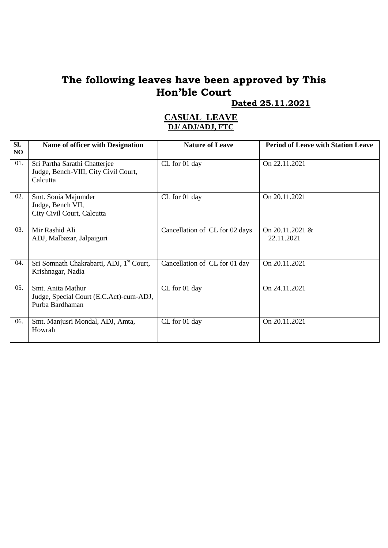#### **Dated 25.11.2021**

| SL<br>NO | Name of officer with Designation                                                  | <b>Nature of Leave</b>         | <b>Period of Leave with Station Leave</b> |
|----------|-----------------------------------------------------------------------------------|--------------------------------|-------------------------------------------|
| 01.      | Sri Partha Sarathi Chatterjee<br>Judge, Bench-VIII, City Civil Court,<br>Calcutta | CL for 01 day                  | On 22.11.2021                             |
| 02.      | Smt. Sonia Majumder<br>Judge, Bench VII,<br>City Civil Court, Calcutta            | CL for 01 day                  | On 20.11.2021                             |
| 03.      | Mir Rashid Ali<br>ADJ, Malbazar, Jalpaiguri                                       | Cancellation of CL for 02 days | On 20.11.2021 &<br>22.11.2021             |
| 04.      | Sri Somnath Chakrabarti, ADJ, 1 <sup>st</sup> Court,<br>Krishnagar, Nadia         | Cancellation of CL for 01 day  | On 20.11.2021                             |
| 05.      | Smt. Anita Mathur<br>Judge, Special Court (E.C.Act)-cum-ADJ,<br>Purba Bardhaman   | CL for 01 day                  | On 24.11.2021                             |
| 06.      | Smt. Manjusri Mondal, ADJ, Amta,<br>Howrah                                        | CL for 01 day                  | On 20.11.2021                             |